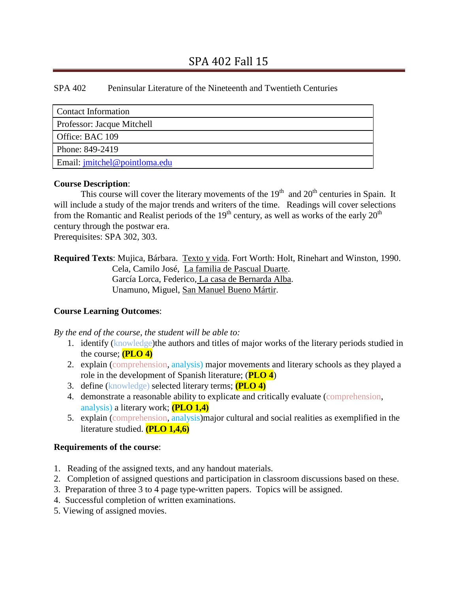# SPA 402 Peninsular Literature of the Nineteenth and Twentieth Centuries

| Contact Information           |
|-------------------------------|
| Professor: Jacque Mitchell    |
| Office: BAC 109               |
| Phone: 849-2419               |
| Email: jmitchel@pointloma.edu |

#### **Course Description**:

This course will cover the literary movements of the  $19<sup>th</sup>$  and  $20<sup>th</sup>$  centuries in Spain. It will include a study of the major trends and writers of the time. Readings will cover selections from the Romantic and Realist periods of the  $19<sup>th</sup>$  century, as well as works of the early  $20<sup>th</sup>$ century through the postwar era.

Prerequisites: SPA 302, 303.

**Required Texts**: Mujica, Bárbara. Texto y vida. Fort Worth: Holt, Rinehart and Winston, 1990. Cela, Camilo José, La familia de Pascual Duarte. García Lorca, Federico, La casa de Bernarda Alba. Unamuno, Miguel, San Manuel Bueno Mártir.

## **Course Learning Outcomes**:

*By the end of the course, the student will be able to:*

- 1. identify (knowledge)the authors and titles of major works of the literary periods studied in the course; **(PLO 4)**
- 2. explain (comprehension, analysis) major movements and literary schools as they played a role in the development of Spanish literature; (**PLO 4**)
- 3. define (knowledge) selected literary terms; **(PLO 4)**
- 4. demonstrate a reasonable ability to explicate and critically evaluate (comprehension, analysis) a literary work; **(PLO 1,4)**
- 5. explain (comprehension, analysis)major cultural and social realities as exemplified in the literature studied. **(PLO 1,4,6)**

## **Requirements of the course**:

- 1. Reading of the assigned texts, and any handout materials.
- 2. Completion of assigned questions and participation in classroom discussions based on these.
- 3. Preparation of three 3 to 4 page type-written papers. Topics will be assigned.
- 4. Successful completion of written examinations.
- 5. Viewing of assigned movies.